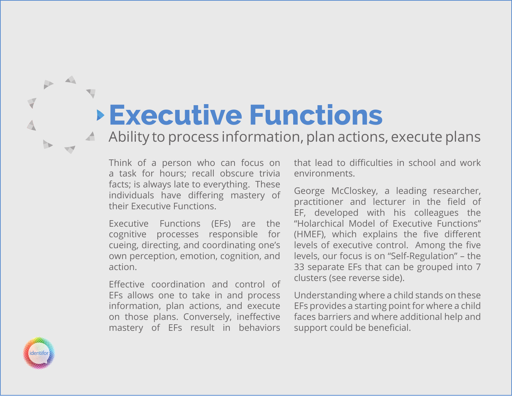# **Executive Functions**

Ability to process information, plan actions, execute plans

Think of a person who can focus on a task for hours; recall obscure trivia facts; is always late to everything. These individuals have differing mastery of their Executive Functions.

Executive Functions (EFs) are the cognitive processes responsible for cueing, directing, and coordinating one's own perception, emotion, cognition, and action.

Effective coordination and control of EFs allows one to take in and process information, plan actions, and execute on those plans. Conversely, ineffective mastery of EFs result in behaviors that lead to difficulties in school and work environments.

George McCloskey, a leading researcher, practitioner and lecturer in the field of EF, developed with his colleagues the "Holarchical Model of Executive Functions" (HMEF), which explains the five different levels of executive control. Among the five levels, our focus is on "Self-Regulation" – the 33 separate EFs that can be grouped into 7 clusters (see reverse side).

Understanding where a child stands on these EFs provides a starting point for where a child faces barriers and where additional help and support could be beneficial.